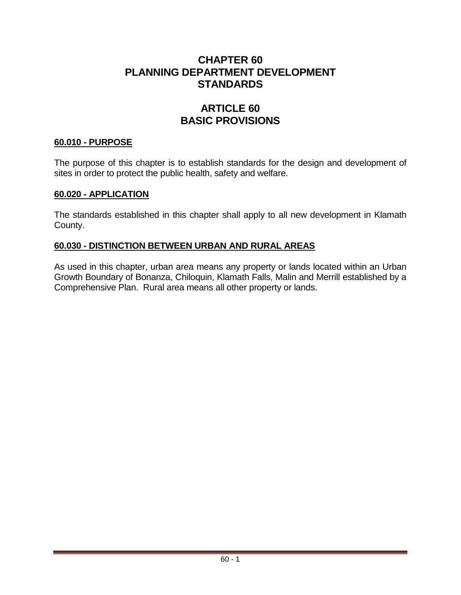# **CHAPTER 60 PLANNING DEPARTMENT DEVELOPMENT STANDARDS**

# **ARTICLE 60 BASIC PROVISIONS**

### **60.010 - PURPOSE**

The purpose of this chapter is to establish standards for the design and development of sites in order to protect the public health, safety and welfare.

### **60.020 - APPLICATION**

The standards established in this chapter shall apply to all new development in Klamath County.

### **60.030 - DISTINCTION BETWEEN URBAN AND RURAL AREAS**

As used in this chapter, urban area means any property or lands located within an Urban Growth Boundary of Bonanza, Chiloquin, Klamath Falls, Malin and Merrill established by a Comprehensive Plan. Rural area means all other property or lands.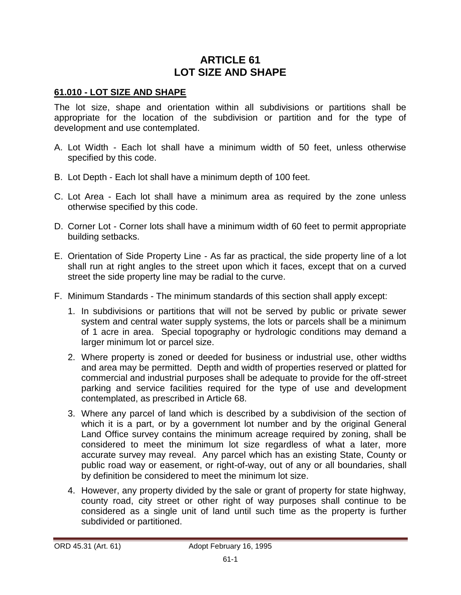# **ARTICLE 61 LOT SIZE AND SHAPE**

### **61.010 - LOT SIZE AND SHAPE**

The lot size, shape and orientation within all subdivisions or partitions shall be appropriate for the location of the subdivision or partition and for the type of development and use contemplated.

- A. Lot Width Each lot shall have a minimum width of 50 feet, unless otherwise specified by this code.
- B. Lot Depth Each lot shall have a minimum depth of 100 feet.
- C. Lot Area Each lot shall have a minimum area as required by the zone unless otherwise specified by this code.
- D. Corner Lot Corner lots shall have a minimum width of 60 feet to permit appropriate building setbacks.
- E. Orientation of Side Property Line As far as practical, the side property line of a lot shall run at right angles to the street upon which it faces, except that on a curved street the side property line may be radial to the curve.
- F. Minimum Standards The minimum standards of this section shall apply except:
	- 1. In subdivisions or partitions that will not be served by public or private sewer system and central water supply systems, the lots or parcels shall be a minimum of 1 acre in area. Special topography or hydrologic conditions may demand a larger minimum lot or parcel size.
	- 2. Where property is zoned or deeded for business or industrial use, other widths and area may be permitted. Depth and width of properties reserved or platted for commercial and industrial purposes shall be adequate to provide for the off-street parking and service facilities required for the type of use and development contemplated, as prescribed in Article 68.
	- 3. Where any parcel of land which is described by a subdivision of the section of which it is a part, or by a government lot number and by the original General Land Office survey contains the minimum acreage required by zoning, shall be considered to meet the minimum lot size regardless of what a later, more accurate survey may reveal. Any parcel which has an existing State, County or public road way or easement, or right-of-way, out of any or all boundaries, shall by definition be considered to meet the minimum lot size.
	- 4. However, any property divided by the sale or grant of property for state highway, county road, city street or other right of way purposes shall continue to be considered as a single unit of land until such time as the property is further subdivided or partitioned.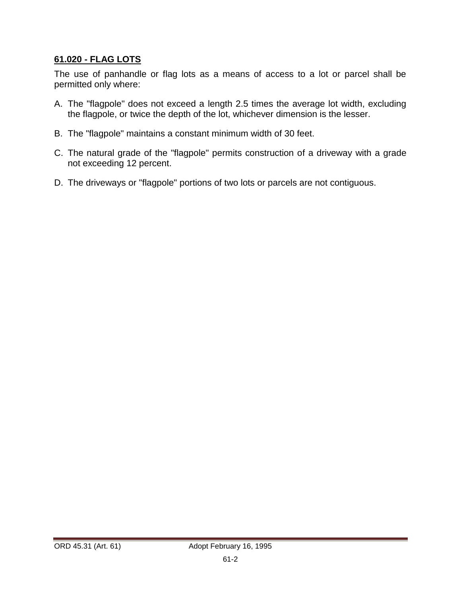## **61.020 - FLAG LOTS**

The use of panhandle or flag lots as a means of access to a lot or parcel shall be permitted only where:

- A. The "flagpole" does not exceed a length 2.5 times the average lot width, excluding the flagpole, or twice the depth of the lot, whichever dimension is the lesser.
- B. The "flagpole" maintains a constant minimum width of 30 feet.
- C. The natural grade of the "flagpole" permits construction of a driveway with a grade not exceeding 12 percent.
- D. The driveways or "flagpole" portions of two lots or parcels are not contiguous.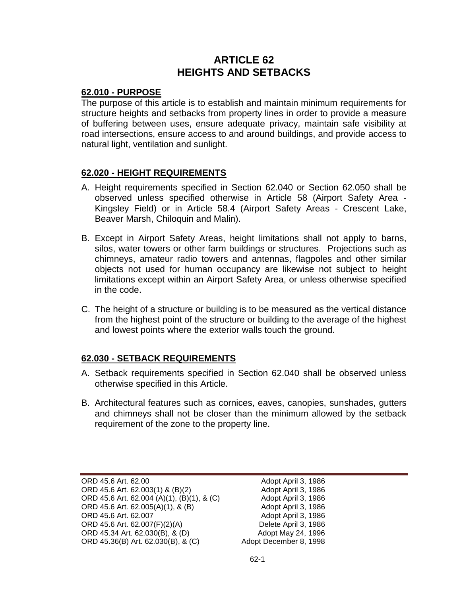# **ARTICLE 62 HEIGHTS AND SETBACKS**

#### **62.010 - PURPOSE**

The purpose of this article is to establish and maintain minimum requirements for structure heights and setbacks from property lines in order to provide a measure of buffering between uses, ensure adequate privacy, maintain safe visibility at road intersections, ensure access to and around buildings, and provide access to natural light, ventilation and sunlight.

### **62.020 - HEIGHT REQUIREMENTS**

- A. Height requirements specified in Section 62.040 or Section 62.050 shall be observed unless specified otherwise in Article 58 (Airport Safety Area - Kingsley Field) or in Article 58.4 (Airport Safety Areas - Crescent Lake, Beaver Marsh, Chiloquin and Malin).
- B. Except in Airport Safety Areas, height limitations shall not apply to barns, silos, water towers or other farm buildings or structures. Projections such as chimneys, amateur radio towers and antennas, flagpoles and other similar objects not used for human occupancy are likewise not subject to height limitations except within an Airport Safety Area, or unless otherwise specified in the code.
- C. The height of a structure or building is to be measured as the vertical distance from the highest point of the structure or building to the average of the highest and lowest points where the exterior walls touch the ground.

#### **62.030 - SETBACK REQUIREMENTS**

- A. Setback requirements specified in Section 62.040 shall be observed unless otherwise specified in this Article.
- B. Architectural features such as cornices, eaves, canopies, sunshades, gutters and chimneys shall not be closer than the minimum allowed by the setback requirement of the zone to the property line.

ORD 45.6 Art. 62.00 **Adopt April 3, 1986** ORD 45.6 Art. 62.003(1) & (B)(2) Adopt April 3, 1986 ORD 45.6 Art. 62.004 (A)(1), (B)(1), & (C) Adopt April 3, 1986 ORD 45.6 Art. 62.005(A)(1), & (B) Adopt April 3, 1986 ORD 45.6 Art. 62.007<br>ORD 45.6 Art. 62.007(F)(2)(A) Delete April 3, 1986 ORD 45.6 Art. 62.007(F)(2)(A) ORD 45.34 Art. 62.030(B), & (D)  $\qquad \qquad$  Adopt May 24, 1996 ORD 45.36(B) Art. 62.030(B), & (C) Adopt December 8, 1998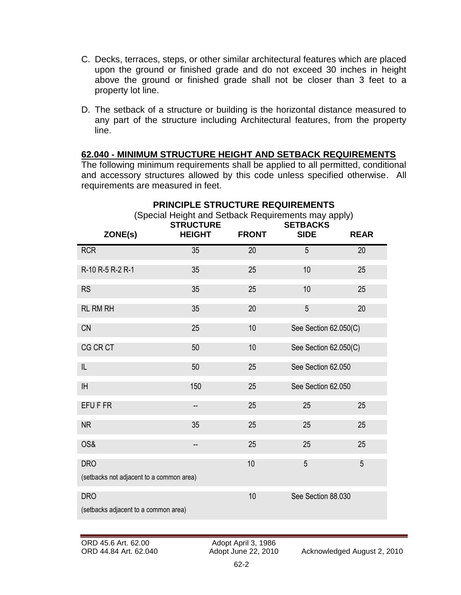- C. Decks, terraces, steps, or other similar architectural features which are placed upon the ground or finished grade and do not exceed 30 inches in height above the ground or finished grade shall not be closer than 3 feet to a property lot line.
- D. The setback of a structure or building is the horizontal distance measured to any part of the structure including Architectural features, from the property line.

#### **62.040 - MINIMUM STRUCTURE HEIGHT AND SETBACK REQUIREMENTS**

The following minimum requirements shall be applied to all permitted, conditional and accessory structures allowed by this code unless specified otherwise. All requirements are measured in feet.

|                                                        | (Special Height and Setback Requirements may apply)<br><b>STRUCTURE</b> |              | <b>SETBACKS</b>       |             |
|--------------------------------------------------------|-------------------------------------------------------------------------|--------------|-----------------------|-------------|
| ZONE(s)                                                | <b>HEIGHT</b>                                                           | <b>FRONT</b> | <b>SIDE</b>           | <b>REAR</b> |
| <b>RCR</b>                                             | 35                                                                      | 20           | 5                     | 20          |
| R-10 R-5 R-2 R-1                                       | 35                                                                      | 25           | 10                    | 25          |
| <b>RS</b>                                              | 35                                                                      | 25           | 10                    | 25          |
| <b>RL RM RH</b>                                        | 35                                                                      | 20           | 5                     | 20          |
| <b>CN</b>                                              | 25                                                                      | 10           | See Section 62.050(C) |             |
| CG CR CT                                               | 50                                                                      | 10           | See Section 62.050(C) |             |
| IL                                                     | 50                                                                      | 25           | See Section 62.050    |             |
| <b>IH</b>                                              | 150                                                                     | 25           | See Section 62.050    |             |
| EFU F FR                                               | -−                                                                      | 25           | 25                    | 25          |
| <b>NR</b>                                              | 35                                                                      | 25           | 25                    | 25          |
| OS&                                                    | --                                                                      | 25           | 25                    | 25          |
| <b>DRO</b><br>(setbacks not adjacent to a common area) |                                                                         | 10           | 5                     | 5           |
| <b>DRO</b><br>(setbacks adjacent to a common area)     |                                                                         | 10           | See Section 88.030    |             |

# **PRINCIPLE STRUCTURE REQUIREMENTS**

ORD 45.6 Art. 62.00 <br>
ORD 44.84 Art. 62.040 <br>
Adopt June 22, 2010

ORD 44.84 Art. 62.040 Adopt June 22, 2010 Acknowledged August 2, 2010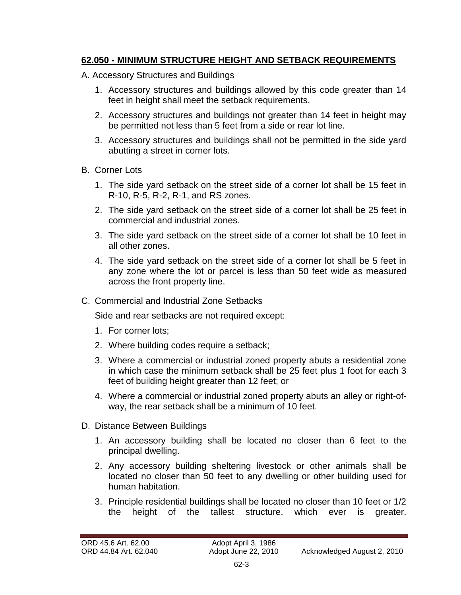# **62.050 - MINIMUM STRUCTURE HEIGHT AND SETBACK REQUIREMENTS**

- A. Accessory Structures and Buildings
	- 1. Accessory structures and buildings allowed by this code greater than 14 feet in height shall meet the setback requirements.
	- 2. Accessory structures and buildings not greater than 14 feet in height may be permitted not less than 5 feet from a side or rear lot line.
	- 3. Accessory structures and buildings shall not be permitted in the side yard abutting a street in corner lots.
- B. Corner Lots
	- 1. The side yard setback on the street side of a corner lot shall be 15 feet in R-10, R-5, R-2, R-1, and RS zones.
	- 2. The side yard setback on the street side of a corner lot shall be 25 feet in commercial and industrial zones.
	- 3. The side yard setback on the street side of a corner lot shall be 10 feet in all other zones.
	- 4. The side yard setback on the street side of a corner lot shall be 5 feet in any zone where the lot or parcel is less than 50 feet wide as measured across the front property line.
- C. Commercial and Industrial Zone Setbacks

Side and rear setbacks are not required except:

- 1. For corner lots;
- 2. Where building codes require a setback;
- 3. Where a commercial or industrial zoned property abuts a residential zone in which case the minimum setback shall be 25 feet plus 1 foot for each 3 feet of building height greater than 12 feet; or
- 4. Where a commercial or industrial zoned property abuts an alley or right-ofway, the rear setback shall be a minimum of 10 feet.
- D. Distance Between Buildings
	- 1. An accessory building shall be located no closer than 6 feet to the principal dwelling.
	- 2. Any accessory building sheltering livestock or other animals shall be located no closer than 50 feet to any dwelling or other building used for human habitation.
	- 3. Principle residential buildings shall be located no closer than 10 feet or 1/2 the height of the tallest structure, which ever is greater.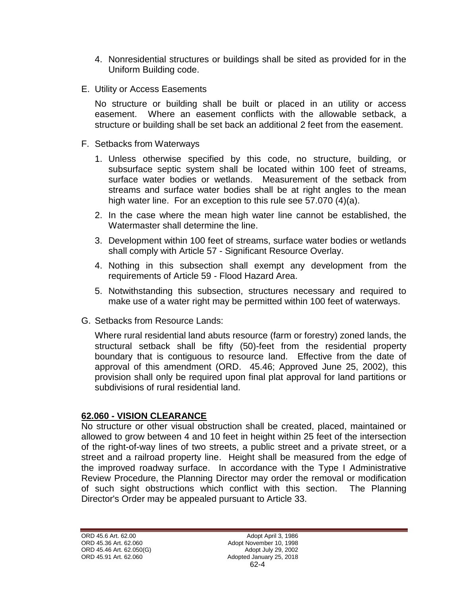- 4. Nonresidential structures or buildings shall be sited as provided for in the Uniform Building code.
- E. Utility or Access Easements

No structure or building shall be built or placed in an utility or access easement. Where an easement conflicts with the allowable setback, a structure or building shall be set back an additional 2 feet from the easement.

- F. Setbacks from Waterways
	- 1. Unless otherwise specified by this code, no structure, building, or subsurface septic system shall be located within 100 feet of streams, surface water bodies or wetlands. Measurement of the setback from streams and surface water bodies shall be at right angles to the mean high water line. For an exception to this rule see 57.070 (4)(a).
	- 2. In the case where the mean high water line cannot be established, the Watermaster shall determine the line.
	- 3. Development within 100 feet of streams, surface water bodies or wetlands shall comply with Article 57 - Significant Resource Overlay.
	- 4. Nothing in this subsection shall exempt any development from the requirements of Article 59 - Flood Hazard Area.
	- 5. Notwithstanding this subsection, structures necessary and required to make use of a water right may be permitted within 100 feet of waterways.
- G. Setbacks from Resource Lands:

Where rural residential land abuts resource (farm or forestry) zoned lands, the structural setback shall be fifty (50)-feet from the residential property boundary that is contiguous to resource land. Effective from the date of approval of this amendment (ORD. 45.46; Approved June 25, 2002), this provision shall only be required upon final plat approval for land partitions or subdivisions of rural residential land.

#### **62.060 - VISION CLEARANCE**

No structure or other visual obstruction shall be created, placed, maintained or allowed to grow between 4 and 10 feet in height within 25 feet of the intersection of the right-of-way lines of two streets, a public street and a private street, or a street and a railroad property line. Height shall be measured from the edge of the improved roadway surface. In accordance with the Type I Administrative Review Procedure, the Planning Director may order the removal or modification of such sight obstructions which conflict with this section. The Planning Director's Order may be appealed pursuant to Article 33.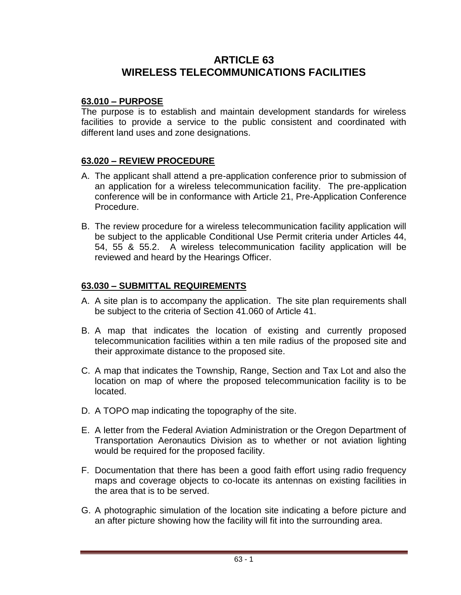# **ARTICLE 63 WIRELESS TELECOMMUNICATIONS FACILITIES**

### **63.010 – PURPOSE**

The purpose is to establish and maintain development standards for wireless facilities to provide a service to the public consistent and coordinated with different land uses and zone designations.

### **63.020 – REVIEW PROCEDURE**

- A. The applicant shall attend a pre-application conference prior to submission of an application for a wireless telecommunication facility. The pre-application conference will be in conformance with Article 21, Pre-Application Conference Procedure.
- B. The review procedure for a wireless telecommunication facility application will be subject to the applicable Conditional Use Permit criteria under Articles 44, 54, 55 & 55.2. A wireless telecommunication facility application will be reviewed and heard by the Hearings Officer.

### **63.030 – SUBMITTAL REQUIREMENTS**

- A. A site plan is to accompany the application. The site plan requirements shall be subject to the criteria of Section 41.060 of Article 41.
- B. A map that indicates the location of existing and currently proposed telecommunication facilities within a ten mile radius of the proposed site and their approximate distance to the proposed site.
- C. A map that indicates the Township, Range, Section and Tax Lot and also the location on map of where the proposed telecommunication facility is to be located.
- D. A TOPO map indicating the topography of the site.
- E. A letter from the Federal Aviation Administration or the Oregon Department of Transportation Aeronautics Division as to whether or not aviation lighting would be required for the proposed facility.
- F. Documentation that there has been a good faith effort using radio frequency maps and coverage objects to co-locate its antennas on existing facilities in the area that is to be served.
- G. A photographic simulation of the location site indicating a before picture and an after picture showing how the facility will fit into the surrounding area.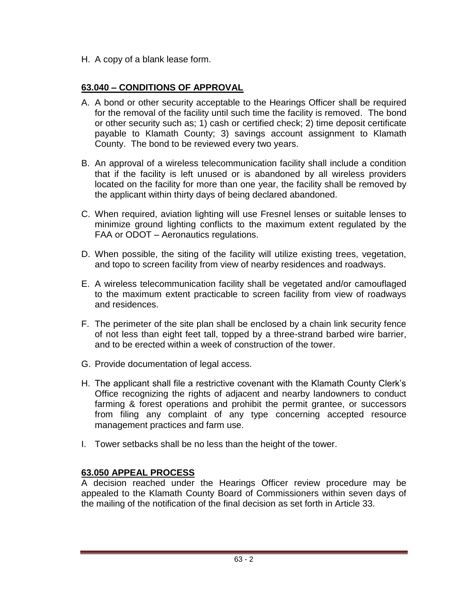H. A copy of a blank lease form.

# **63.040 – CONDITIONS OF APPROVAL**

- A. A bond or other security acceptable to the Hearings Officer shall be required for the removal of the facility until such time the facility is removed. The bond or other security such as; 1) cash or certified check; 2) time deposit certificate payable to Klamath County; 3) savings account assignment to Klamath County. The bond to be reviewed every two years.
- B. An approval of a wireless telecommunication facility shall include a condition that if the facility is left unused or is abandoned by all wireless providers located on the facility for more than one year, the facility shall be removed by the applicant within thirty days of being declared abandoned.
- C. When required, aviation lighting will use Fresnel lenses or suitable lenses to minimize ground lighting conflicts to the maximum extent regulated by the FAA or ODOT – Aeronautics regulations.
- D. When possible, the siting of the facility will utilize existing trees, vegetation, and topo to screen facility from view of nearby residences and roadways.
- E. A wireless telecommunication facility shall be vegetated and/or camouflaged to the maximum extent practicable to screen facility from view of roadways and residences.
- F. The perimeter of the site plan shall be enclosed by a chain link security fence of not less than eight feet tall, topped by a three-strand barbed wire barrier, and to be erected within a week of construction of the tower.
- G. Provide documentation of legal access.
- H. The applicant shall file a restrictive covenant with the Klamath County Clerk's Office recognizing the rights of adjacent and nearby landowners to conduct farming & forest operations and prohibit the permit grantee, or successors from filing any complaint of any type concerning accepted resource management practices and farm use.
- I. Tower setbacks shall be no less than the height of the tower.

# **63.050 APPEAL PROCESS**

A decision reached under the Hearings Officer review procedure may be appealed to the Klamath County Board of Commissioners within seven days of the mailing of the notification of the final decision as set forth in Article 33.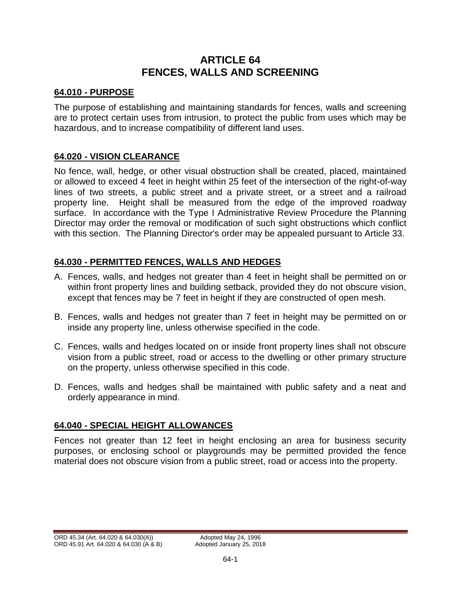# **ARTICLE 64 FENCES, WALLS AND SCREENING**

## **64.010 - PURPOSE**

The purpose of establishing and maintaining standards for fences, walls and screening are to protect certain uses from intrusion, to protect the public from uses which may be hazardous, and to increase compatibility of different land uses.

## **64.020 - VISION CLEARANCE**

No fence, wall, hedge, or other visual obstruction shall be created, placed, maintained or allowed to exceed 4 feet in height within 25 feet of the intersection of the right-of-way lines of two streets, a public street and a private street, or a street and a railroad property line. Height shall be measured from the edge of the improved roadway surface. In accordance with the Type I Administrative Review Procedure the Planning Director may order the removal or modification of such sight obstructions which conflict with this section. The Planning Director's order may be appealed pursuant to Article 33.

# **64.030 - PERMITTED FENCES, WALLS AND HEDGES**

- A. Fences, walls, and hedges not greater than 4 feet in height shall be permitted on or within front property lines and building setback, provided they do not obscure vision, except that fences may be 7 feet in height if they are constructed of open mesh.
- B. Fences, walls and hedges not greater than 7 feet in height may be permitted on or inside any property line, unless otherwise specified in the code.
- C. Fences, walls and hedges located on or inside front property lines shall not obscure vision from a public street, road or access to the dwelling or other primary structure on the property, unless otherwise specified in this code.
- D. Fences, walls and hedges shall be maintained with public safety and a neat and orderly appearance in mind.

# **64.040 - SPECIAL HEIGHT ALLOWANCES**

Fences not greater than 12 feet in height enclosing an area for business security purposes, or enclosing school or playgrounds may be permitted provided the fence material does not obscure vision from a public street, road or access into the property.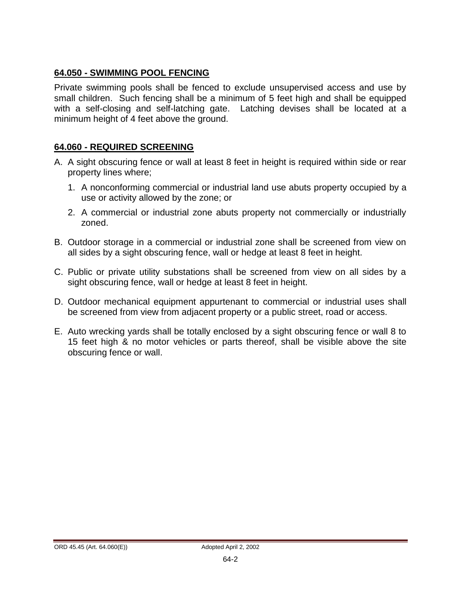## **64.050 - SWIMMING POOL FENCING**

Private swimming pools shall be fenced to exclude unsupervised access and use by small children. Such fencing shall be a minimum of 5 feet high and shall be equipped with a self-closing and self-latching gate. Latching devises shall be located at a minimum height of 4 feet above the ground.

### **64.060 - REQUIRED SCREENING**

- A. A sight obscuring fence or wall at least 8 feet in height is required within side or rear property lines where;
	- 1. A nonconforming commercial or industrial land use abuts property occupied by a use or activity allowed by the zone; or
	- 2. A commercial or industrial zone abuts property not commercially or industrially zoned.
- B. Outdoor storage in a commercial or industrial zone shall be screened from view on all sides by a sight obscuring fence, wall or hedge at least 8 feet in height.
- C. Public or private utility substations shall be screened from view on all sides by a sight obscuring fence, wall or hedge at least 8 feet in height.
- D. Outdoor mechanical equipment appurtenant to commercial or industrial uses shall be screened from view from adjacent property or a public street, road or access.
- E. Auto wrecking yards shall be totally enclosed by a sight obscuring fence or wall 8 to 15 feet high & no motor vehicles or parts thereof, shall be visible above the site obscuring fence or wall.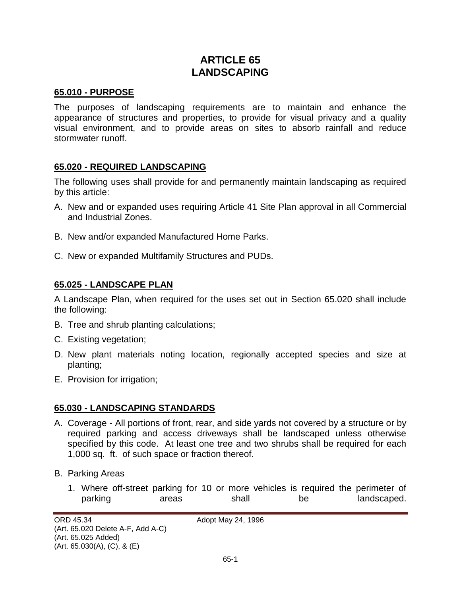# **ARTICLE 65 LANDSCAPING**

#### **65.010 - PURPOSE**

The purposes of landscaping requirements are to maintain and enhance the appearance of structures and properties, to provide for visual privacy and a quality visual environment, and to provide areas on sites to absorb rainfall and reduce stormwater runoff.

#### **65.020 - REQUIRED LANDSCAPING**

The following uses shall provide for and permanently maintain landscaping as required by this article:

- A. New and or expanded uses requiring Article 41 Site Plan approval in all Commercial and Industrial Zones.
- B. New and/or expanded Manufactured Home Parks.
- C. New or expanded Multifamily Structures and PUDs.

#### **65.025 - LANDSCAPE PLAN**

A Landscape Plan, when required for the uses set out in Section 65.020 shall include the following:

- B. Tree and shrub planting calculations;
- C. Existing vegetation;
- D. New plant materials noting location, regionally accepted species and size at planting;
- E. Provision for irrigation;

#### **65.030 - LANDSCAPING STANDARDS**

- A. Coverage All portions of front, rear, and side yards not covered by a structure or by required parking and access driveways shall be landscaped unless otherwise specified by this code. At least one tree and two shrubs shall be required for each 1,000 sq. ft. of such space or fraction thereof.
- B. Parking Areas
	- 1. Where off-street parking for 10 or more vehicles is required the perimeter of parking areas shall be landscaped.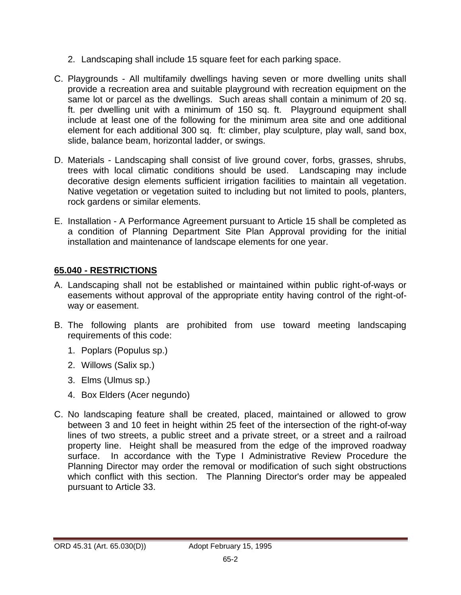- 2. Landscaping shall include 15 square feet for each parking space.
- C. Playgrounds All multifamily dwellings having seven or more dwelling units shall provide a recreation area and suitable playground with recreation equipment on the same lot or parcel as the dwellings. Such areas shall contain a minimum of 20 sq. ft. per dwelling unit with a minimum of 150 sq. ft. Playground equipment shall include at least one of the following for the minimum area site and one additional element for each additional 300 sq. ft: climber, play sculpture, play wall, sand box, slide, balance beam, horizontal ladder, or swings.
- D. Materials Landscaping shall consist of live ground cover, forbs, grasses, shrubs, trees with local climatic conditions should be used. Landscaping may include decorative design elements sufficient irrigation facilities to maintain all vegetation. Native vegetation or vegetation suited to including but not limited to pools, planters, rock gardens or similar elements.
- E. Installation A Performance Agreement pursuant to Article 15 shall be completed as a condition of Planning Department Site Plan Approval providing for the initial installation and maintenance of landscape elements for one year.

# **65.040 - RESTRICTIONS**

- A. Landscaping shall not be established or maintained within public right-of-ways or easements without approval of the appropriate entity having control of the right-ofway or easement.
- B. The following plants are prohibited from use toward meeting landscaping requirements of this code:
	- 1. Poplars (Populus sp.)
	- 2. Willows (Salix sp.)
	- 3. Elms (Ulmus sp.)
	- 4. Box Elders (Acer negundo)
- C. No landscaping feature shall be created, placed, maintained or allowed to grow between 3 and 10 feet in height within 25 feet of the intersection of the right-of-way lines of two streets, a public street and a private street, or a street and a railroad property line. Height shall be measured from the edge of the improved roadway surface. In accordance with the Type I Administrative Review Procedure the Planning Director may order the removal or modification of such sight obstructions which conflict with this section. The Planning Director's order may be appealed pursuant to Article 33.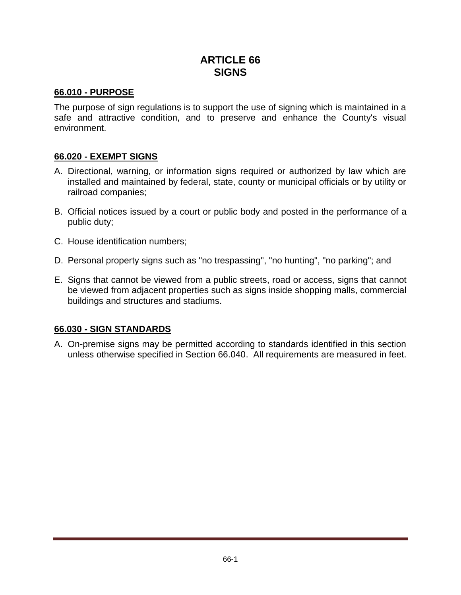# **ARTICLE 66 SIGNS**

### **66.010 - PURPOSE**

The purpose of sign regulations is to support the use of signing which is maintained in a safe and attractive condition, and to preserve and enhance the County's visual environment.

### **66.020 - EXEMPT SIGNS**

- A. Directional, warning, or information signs required or authorized by law which are installed and maintained by federal, state, county or municipal officials or by utility or railroad companies;
- B. Official notices issued by a court or public body and posted in the performance of a public duty;
- C. House identification numbers;
- D. Personal property signs such as "no trespassing", "no hunting", "no parking"; and
- E. Signs that cannot be viewed from a public streets, road or access, signs that cannot be viewed from adjacent properties such as signs inside shopping malls, commercial buildings and structures and stadiums.

#### **66.030 - SIGN STANDARDS**

A. On-premise signs may be permitted according to standards identified in this section unless otherwise specified in Section 66.040. All requirements are measured in feet.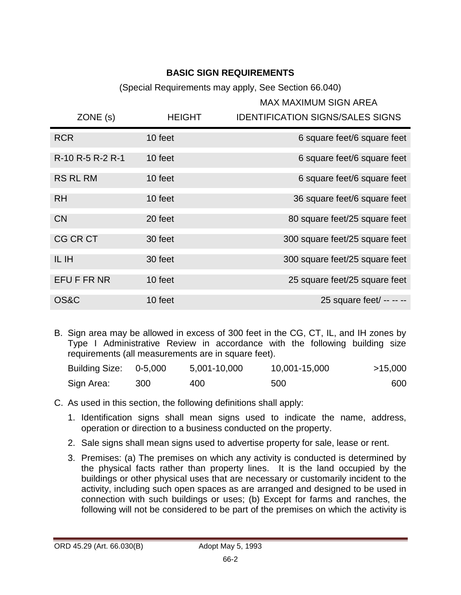# **BASIC SIGN REQUIREMENTS**

(Special Requirements may apply, See Section 66.040)

### MAX MAXIMUM SIGN AREA

| ZONE(s)          | <b>HEIGHT</b> | <b>IDENTIFICATION SIGNS/SALES SIGNS</b> |
|------------------|---------------|-----------------------------------------|
| <b>RCR</b>       | 10 feet       | 6 square feet/6 square feet             |
| R-10 R-5 R-2 R-1 | 10 feet       | 6 square feet/6 square feet             |
| <b>RS RL RM</b>  | 10 feet       | 6 square feet/6 square feet             |
| <b>RH</b>        | 10 feet       | 36 square feet/6 square feet            |
| <b>CN</b>        | 20 feet       | 80 square feet/25 square feet           |
| <b>CG CR CT</b>  | 30 feet       | 300 square feet/25 square feet          |
| IL IH            | 30 feet       | 300 square feet/25 square feet          |
| EFU F FR NR      | 10 feet       | 25 square feet/25 square feet           |
| <b>OS&amp;C</b>  | 10 feet       | 25 square feet/ -- -- --                |

B. Sign area may be allowed in excess of 300 feet in the CG, CT, IL, and IH zones by Type I Administrative Review in accordance with the following building size requirements (all measurements are in square feet).

| Building Size: 0-5,000 |     | 5,001-10,000 | 10,001-15,000 | >15,000 |
|------------------------|-----|--------------|---------------|---------|
| Sign Area:             | 300 | 400          | 500           | 600     |

- C. As used in this section, the following definitions shall apply:
	- 1. Identification signs shall mean signs used to indicate the name, address, operation or direction to a business conducted on the property.
	- 2. Sale signs shall mean signs used to advertise property for sale, lease or rent.
	- 3. Premises: (a) The premises on which any activity is conducted is determined by the physical facts rather than property lines. It is the land occupied by the buildings or other physical uses that are necessary or customarily incident to the activity, including such open spaces as are arranged and designed to be used in connection with such buildings or uses; (b) Except for farms and ranches, the following will not be considered to be part of the premises on which the activity is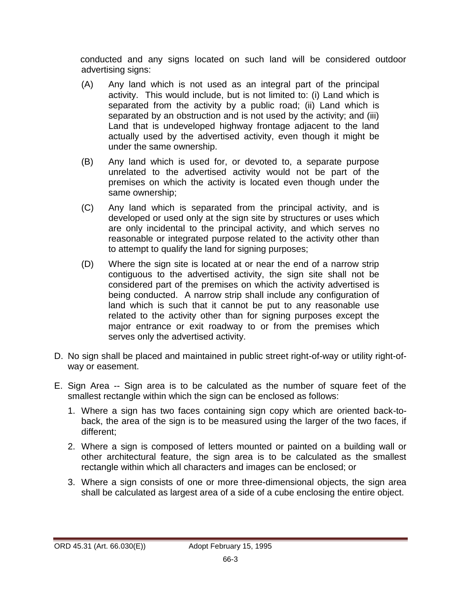conducted and any signs located on such land will be considered outdoor advertising signs:

- (A) Any land which is not used as an integral part of the principal activity. This would include, but is not limited to: (i) Land which is separated from the activity by a public road; (ii) Land which is separated by an obstruction and is not used by the activity; and (iii) Land that is undeveloped highway frontage adjacent to the land actually used by the advertised activity, even though it might be under the same ownership.
- (B) Any land which is used for, or devoted to, a separate purpose unrelated to the advertised activity would not be part of the premises on which the activity is located even though under the same ownership;
- (C) Any land which is separated from the principal activity, and is developed or used only at the sign site by structures or uses which are only incidental to the principal activity, and which serves no reasonable or integrated purpose related to the activity other than to attempt to qualify the land for signing purposes;
- (D) Where the sign site is located at or near the end of a narrow strip contiguous to the advertised activity, the sign site shall not be considered part of the premises on which the activity advertised is being conducted. A narrow strip shall include any configuration of land which is such that it cannot be put to any reasonable use related to the activity other than for signing purposes except the major entrance or exit roadway to or from the premises which serves only the advertised activity.
- D. No sign shall be placed and maintained in public street right-of-way or utility right-ofway or easement.
- E. Sign Area -- Sign area is to be calculated as the number of square feet of the smallest rectangle within which the sign can be enclosed as follows:
	- 1. Where a sign has two faces containing sign copy which are oriented back-toback, the area of the sign is to be measured using the larger of the two faces, if different;
	- 2. Where a sign is composed of letters mounted or painted on a building wall or other architectural feature, the sign area is to be calculated as the smallest rectangle within which all characters and images can be enclosed; or
	- 3. Where a sign consists of one or more three-dimensional objects, the sign area shall be calculated as largest area of a side of a cube enclosing the entire object.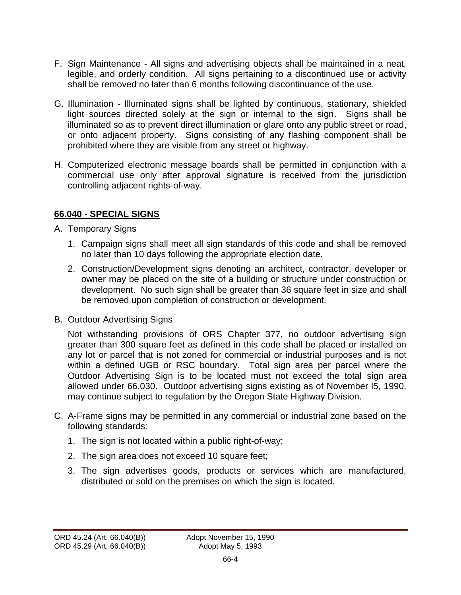- F. Sign Maintenance All signs and advertising objects shall be maintained in a neat, legible, and orderly condition. All signs pertaining to a discontinued use or activity shall be removed no later than 6 months following discontinuance of the use.
- G. Illumination Illuminated signs shall be lighted by continuous, stationary, shielded light sources directed solely at the sign or internal to the sign. Signs shall be illuminated so as to prevent direct illumination or glare onto any public street or road, or onto adjacent property. Signs consisting of any flashing component shall be prohibited where they are visible from any street or highway.
- H. Computerized electronic message boards shall be permitted in conjunction with a commercial use only after approval signature is received from the jurisdiction controlling adjacent rights-of-way.

# **66.040 - SPECIAL SIGNS**

- A. Temporary Signs
	- 1. Campaign signs shall meet all sign standards of this code and shall be removed no later than 10 days following the appropriate election date.
	- 2. Construction/Development signs denoting an architect, contractor, developer or owner may be placed on the site of a building or structure under construction or development. No such sign shall be greater than 36 square feet in size and shall be removed upon completion of construction or development.
- B. Outdoor Advertising Signs

Not withstanding provisions of ORS Chapter 377, no outdoor advertising sign greater than 300 square feet as defined in this code shall be placed or installed on any lot or parcel that is not zoned for commercial or industrial purposes and is not within a defined UGB or RSC boundary. Total sign area per parcel where the Outdoor Advertising Sign is to be located must not exceed the total sign area allowed under 66.030. Outdoor advertising signs existing as of November l5, 1990, may continue subject to regulation by the Oregon State Highway Division.

- C. A-Frame signs may be permitted in any commercial or industrial zone based on the following standards:
	- 1. The sign is not located within a public right-of-way;
	- 2. The sign area does not exceed 10 square feet;
	- 3. The sign advertises goods, products or services which are manufactured, distributed or sold on the premises on which the sign is located.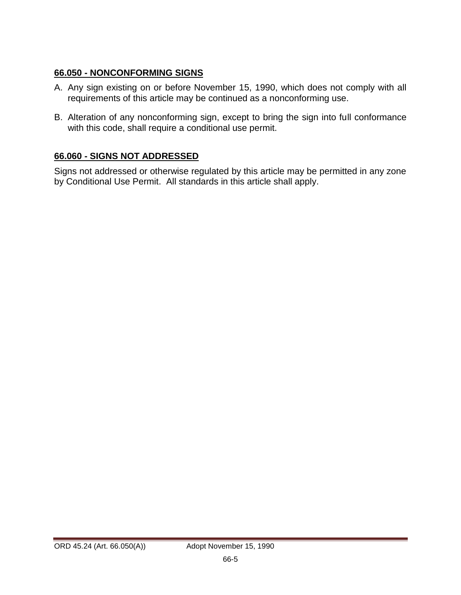## **66.050 - NONCONFORMING SIGNS**

- A. Any sign existing on or before November 15, 1990, which does not comply with all requirements of this article may be continued as a nonconforming use.
- B. Alteration of any nonconforming sign, except to bring the sign into full conformance with this code, shall require a conditional use permit.

# **66.060 - SIGNS NOT ADDRESSED**

Signs not addressed or otherwise regulated by this article may be permitted in any zone by Conditional Use Permit. All standards in this article shall apply.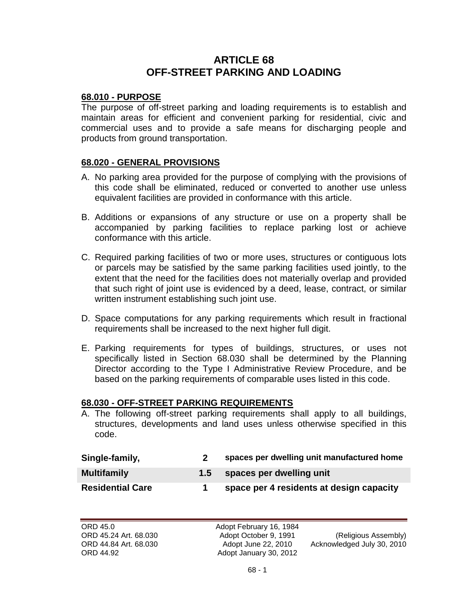# **ARTICLE 68 OFF-STREET PARKING AND LOADING**

#### **68.010 - PURPOSE**

The purpose of off-street parking and loading requirements is to establish and maintain areas for efficient and convenient parking for residential, civic and commercial uses and to provide a safe means for discharging people and products from ground transportation.

#### **68.020 - GENERAL PROVISIONS**

- A. No parking area provided for the purpose of complying with the provisions of this code shall be eliminated, reduced or converted to another use unless equivalent facilities are provided in conformance with this article.
- B. Additions or expansions of any structure or use on a property shall be accompanied by parking facilities to replace parking lost or achieve conformance with this article.
- C. Required parking facilities of two or more uses, structures or contiguous lots or parcels may be satisfied by the same parking facilities used jointly, to the extent that the need for the facilities does not materially overlap and provided that such right of joint use is evidenced by a deed, lease, contract, or similar written instrument establishing such joint use.
- D. Space computations for any parking requirements which result in fractional requirements shall be increased to the next higher full digit.
- E. Parking requirements for types of buildings, structures, or uses not specifically listed in Section 68.030 shall be determined by the Planning Director according to the Type I Administrative Review Procedure, and be based on the parking requirements of comparable uses listed in this code.

#### **68.030 - OFF-STREET PARKING REQUIREMENTS**

A. The following off-street parking requirements shall apply to all buildings, structures, developments and land uses unless otherwise specified in this code.

| Single-family,          | spaces per dwelling unit manufactured home |
|-------------------------|--------------------------------------------|
| <b>Multifamily</b>      | 1.5 spaces per dwelling unit               |
| <b>Residential Care</b> | space per 4 residents at design capacity   |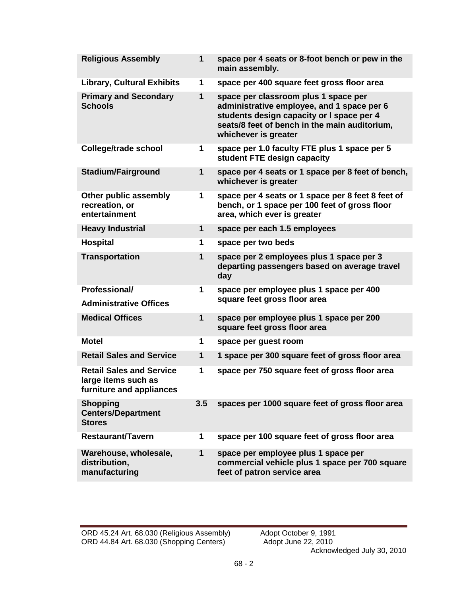| <b>Religious Assembly</b>                                                          | $\mathbf{1}$ | space per 4 seats or 8-foot bench or pew in the<br>main assembly.                                                                                                                                        |
|------------------------------------------------------------------------------------|--------------|----------------------------------------------------------------------------------------------------------------------------------------------------------------------------------------------------------|
| <b>Library, Cultural Exhibits</b>                                                  | 1            | space per 400 square feet gross floor area                                                                                                                                                               |
| <b>Primary and Secondary</b><br><b>Schools</b>                                     | $\mathbf 1$  | space per classroom plus 1 space per<br>administrative employee, and 1 space per 6<br>students design capacity or I space per 4<br>seats/8 feet of bench in the main auditorium,<br>whichever is greater |
| <b>College/trade school</b>                                                        | 1            | space per 1.0 faculty FTE plus 1 space per 5<br>student FTE design capacity                                                                                                                              |
| <b>Stadium/Fairground</b>                                                          | $\mathbf{1}$ | space per 4 seats or 1 space per 8 feet of bench,<br>whichever is greater                                                                                                                                |
| Other public assembly<br>recreation, or<br>entertainment                           | 1            | space per 4 seats or 1 space per 8 feet 8 feet of<br>bench, or 1 space per 100 feet of gross floor<br>area, which ever is greater                                                                        |
| <b>Heavy Industrial</b>                                                            | 1            | space per each 1.5 employees                                                                                                                                                                             |
| <b>Hospital</b>                                                                    | 1            | space per two beds                                                                                                                                                                                       |
| <b>Transportation</b>                                                              | $\mathbf{1}$ | space per 2 employees plus 1 space per 3<br>departing passengers based on average travel<br>day                                                                                                          |
| Professional/<br><b>Administrative Offices</b>                                     | 1            | space per employee plus 1 space per 400<br>square feet gross floor area                                                                                                                                  |
| <b>Medical Offices</b>                                                             | $\mathbf{1}$ | space per employee plus 1 space per 200<br>square feet gross floor area                                                                                                                                  |
| <b>Motel</b>                                                                       | 1            | space per guest room                                                                                                                                                                                     |
| <b>Retail Sales and Service</b>                                                    | 1            | 1 space per 300 square feet of gross floor area                                                                                                                                                          |
| <b>Retail Sales and Service</b><br>large items such as<br>furniture and appliances | 1            | space per 750 square feet of gross floor area                                                                                                                                                            |
| <b>Shopping</b><br><b>Centers/Department</b><br><b>Stores</b>                      | 3.5          | spaces per 1000 square feet of gross floor area                                                                                                                                                          |
| <b>Restaurant/Tavern</b>                                                           | 1            | space per 100 square feet of gross floor area                                                                                                                                                            |
| Warehouse, wholesale,<br>distribution,<br>manufacturing                            | $\mathbf{1}$ | space per employee plus 1 space per<br>commercial vehicle plus 1 space per 700 square<br>feet of patron service area                                                                                     |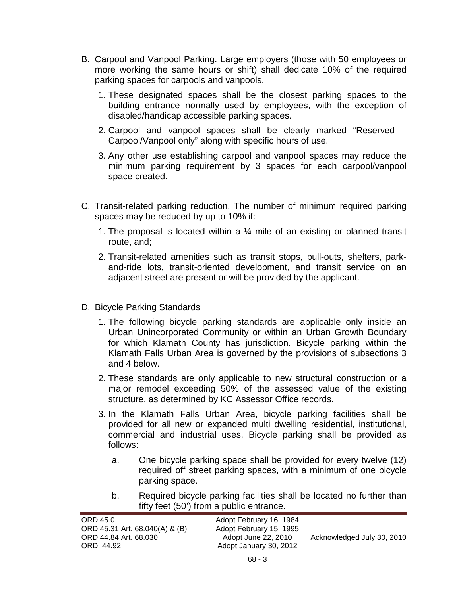- B. Carpool and Vanpool Parking. Large employers (those with 50 employees or more working the same hours or shift) shall dedicate 10% of the required parking spaces for carpools and vanpools.
	- 1. These designated spaces shall be the closest parking spaces to the building entrance normally used by employees, with the exception of disabled/handicap accessible parking spaces.
	- 2. Carpool and vanpool spaces shall be clearly marked "Reserved Carpool/Vanpool only" along with specific hours of use.
	- 3. Any other use establishing carpool and vanpool spaces may reduce the minimum parking requirement by 3 spaces for each carpool/vanpool space created.
- C. Transit-related parking reduction. The number of minimum required parking spaces may be reduced by up to 10% if:
	- 1. The proposal is located within a  $\frac{1}{4}$  mile of an existing or planned transit route, and;
	- 2. Transit-related amenities such as transit stops, pull-outs, shelters, parkand-ride lots, transit-oriented development, and transit service on an adjacent street are present or will be provided by the applicant.
- D. Bicycle Parking Standards
	- 1. The following bicycle parking standards are applicable only inside an Urban Unincorporated Community or within an Urban Growth Boundary for which Klamath County has jurisdiction. Bicycle parking within the Klamath Falls Urban Area is governed by the provisions of subsections 3 and 4 below.
	- 2. These standards are only applicable to new structural construction or a major remodel exceeding 50% of the assessed value of the existing structure, as determined by KC Assessor Office records.
	- 3. In the Klamath Falls Urban Area, bicycle parking facilities shall be provided for all new or expanded multi dwelling residential, institutional, commercial and industrial uses. Bicycle parking shall be provided as follows:
		- a. One bicycle parking space shall be provided for every twelve (12) required off street parking spaces, with a minimum of one bicycle parking space.
		- b. Required bicycle parking facilities shall be located no further than fifty feet (50') from a public entrance.

| ORD 45.0<br>ORD 45.31 Art. 68.040(A) & (B) | Adopt February 16, 1984<br>Adopt February 15, 1995 |                            |
|--------------------------------------------|----------------------------------------------------|----------------------------|
| ORD 44.84 Art. 68.030<br>ORD. 44.92        | Adopt June 22, 2010<br>Adopt January 30, 2012      | Acknowledged July 30, 2010 |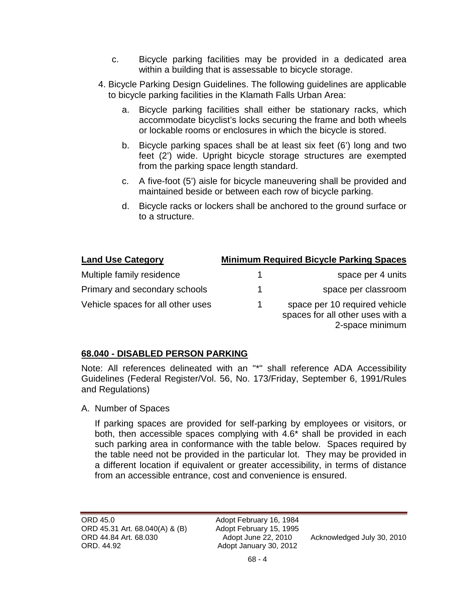- c. Bicycle parking facilities may be provided in a dedicated area within a building that is assessable to bicycle storage.
- 4. Bicycle Parking Design Guidelines. The following guidelines are applicable to bicycle parking facilities in the Klamath Falls Urban Area:
	- a. Bicycle parking facilities shall either be stationary racks, which accommodate bicyclist's locks securing the frame and both wheels or lockable rooms or enclosures in which the bicycle is stored.
	- b. Bicycle parking spaces shall be at least six feet (6') long and two feet (2') wide. Upright bicycle storage structures are exempted from the parking space length standard.
	- c. A five-foot (5') aisle for bicycle maneuvering shall be provided and maintained beside or between each row of bicycle parking.
	- d. Bicycle racks or lockers shall be anchored to the ground surface or to a structure.

| <b>Land Use Category</b>          |    | <b>Minimum Required Bicycle Parking Spaces</b>                                       |
|-----------------------------------|----|--------------------------------------------------------------------------------------|
| Multiple family residence         |    | space per 4 units                                                                    |
| Primary and secondary schools     | 1  | space per classroom                                                                  |
| Vehicle spaces for all other uses | -1 | space per 10 required vehicle<br>spaces for all other uses with a<br>2-space minimum |

### **68.040 - DISABLED PERSON PARKING**

Note: All references delineated with an "\*" shall reference ADA Accessibility Guidelines (Federal Register/Vol. 56, No. 173/Friday, September 6, 1991/Rules and Regulations)

A. Number of Spaces

If parking spaces are provided for self-parking by employees or visitors, or both, then accessible spaces complying with 4.6\* shall be provided in each such parking area in conformance with the table below. Spaces required by the table need not be provided in the particular lot. They may be provided in a different location if equivalent or greater accessibility, in terms of distance from an accessible entrance, cost and convenience is ensured.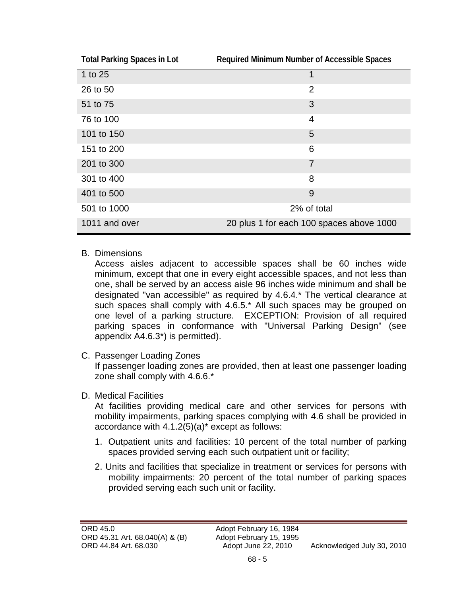| <b>Total Parking Spaces in Lot</b> | Required Minimum Number of Accessible Spaces |
|------------------------------------|----------------------------------------------|
| 1 to 25                            | 1                                            |
| 26 to 50                           | $\overline{2}$                               |
| 51 to 75                           | 3                                            |
| 76 to 100                          | 4                                            |
| 101 to 150                         | 5                                            |
| 151 to 200                         | 6                                            |
| 201 to 300                         | $\overline{7}$                               |
| 301 to 400                         | 8                                            |
| 401 to 500                         | 9                                            |
| 501 to 1000                        | 2% of total                                  |
| 1011 and over                      | 20 plus 1 for each 100 spaces above 1000     |

B. Dimensions

Access aisles adjacent to accessible spaces shall be 60 inches wide minimum, except that one in every eight accessible spaces, and not less than one, shall be served by an access aisle 96 inches wide minimum and shall be designated "van accessible" as required by 4.6.4.\* The vertical clearance at such spaces shall comply with 4.6.5.\* All such spaces may be grouped on one level of a parking structure. EXCEPTION: Provision of all required parking spaces in conformance with "Universal Parking Design" (see appendix A4.6.3\*) is permitted).

C. Passenger Loading Zones

If passenger loading zones are provided, then at least one passenger loading zone shall comply with 4.6.6.\*

### D. Medical Facilities

At facilities providing medical care and other services for persons with mobility impairments, parking spaces complying with 4.6 shall be provided in accordance with 4.1.2(5)(a)\* except as follows:

- 1. Outpatient units and facilities: 10 percent of the total number of parking spaces provided serving each such outpatient unit or facility;
- 2. Units and facilities that specialize in treatment or services for persons with mobility impairments: 20 percent of the total number of parking spaces provided serving each such unit or facility.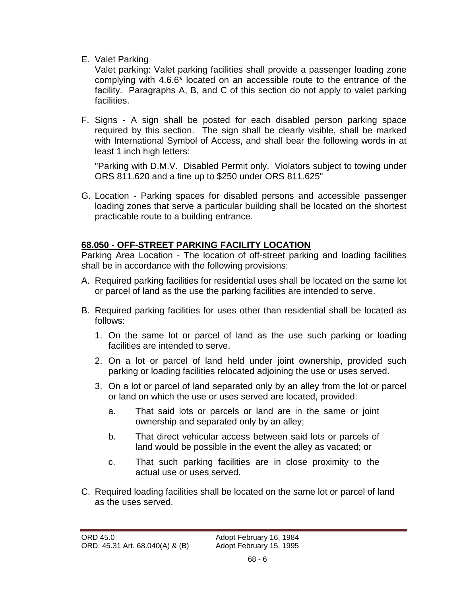E. Valet Parking

Valet parking: Valet parking facilities shall provide a passenger loading zone complying with 4.6.6\* located on an accessible route to the entrance of the facility. Paragraphs A, B, and C of this section do not apply to valet parking facilities.

F. Signs - A sign shall be posted for each disabled person parking space required by this section. The sign shall be clearly visible, shall be marked with International Symbol of Access, and shall bear the following words in at least 1 inch high letters:

"Parking with D.M.V. Disabled Permit only. Violators subject to towing under ORS 811.620 and a fine up to \$250 under ORS 811.625"

G. Location - Parking spaces for disabled persons and accessible passenger loading zones that serve a particular building shall be located on the shortest practicable route to a building entrance.

# **68.050 - OFF-STREET PARKING FACILITY LOCATION**

Parking Area Location - The location of off-street parking and loading facilities shall be in accordance with the following provisions:

- A. Required parking facilities for residential uses shall be located on the same lot or parcel of land as the use the parking facilities are intended to serve.
- B. Required parking facilities for uses other than residential shall be located as follows:
	- 1. On the same lot or parcel of land as the use such parking or loading facilities are intended to serve.
	- 2. On a lot or parcel of land held under joint ownership, provided such parking or loading facilities relocated adjoining the use or uses served.
	- 3. On a lot or parcel of land separated only by an alley from the lot or parcel or land on which the use or uses served are located, provided:
		- a. That said lots or parcels or land are in the same or joint ownership and separated only by an alley;
		- b. That direct vehicular access between said lots or parcels of land would be possible in the event the alley as vacated; or
		- c. That such parking facilities are in close proximity to the actual use or uses served.
- C. Required loading facilities shall be located on the same lot or parcel of land as the uses served.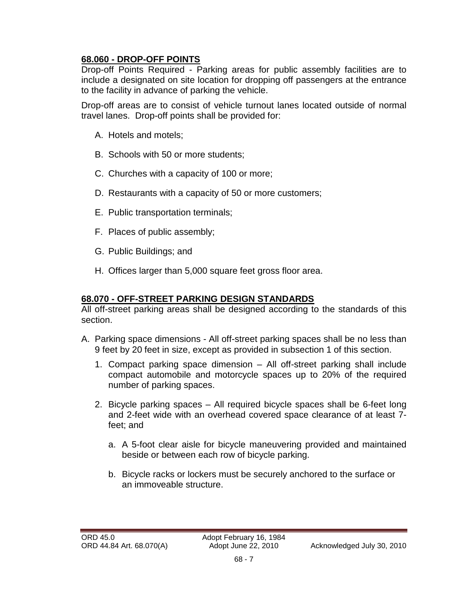# **68.060 - DROP-OFF POINTS**

Drop-off Points Required - Parking areas for public assembly facilities are to include a designated on site location for dropping off passengers at the entrance to the facility in advance of parking the vehicle.

Drop-off areas are to consist of vehicle turnout lanes located outside of normal travel lanes. Drop-off points shall be provided for:

- A. Hotels and motels;
- B. Schools with 50 or more students;
- C. Churches with a capacity of 100 or more;
- D. Restaurants with a capacity of 50 or more customers;
- E. Public transportation terminals;
- F. Places of public assembly;
- G. Public Buildings; and
- H. Offices larger than 5,000 square feet gross floor area.

### **68.070 - OFF-STREET PARKING DESIGN STANDARDS**

All off-street parking areas shall be designed according to the standards of this section.

- A. Parking space dimensions All off-street parking spaces shall be no less than 9 feet by 20 feet in size, except as provided in subsection 1 of this section.
	- 1. Compact parking space dimension All off-street parking shall include compact automobile and motorcycle spaces up to 20% of the required number of parking spaces.
	- 2. Bicycle parking spaces All required bicycle spaces shall be 6-feet long and 2-feet wide with an overhead covered space clearance of at least 7 feet; and
		- a. A 5-foot clear aisle for bicycle maneuvering provided and maintained beside or between each row of bicycle parking.
		- b. Bicycle racks or lockers must be securely anchored to the surface or an immoveable structure.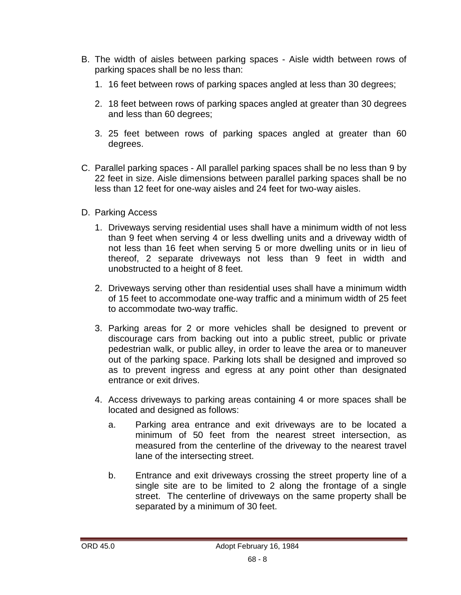- B. The width of aisles between parking spaces Aisle width between rows of parking spaces shall be no less than:
	- 1. 16 feet between rows of parking spaces angled at less than 30 degrees;
	- 2. 18 feet between rows of parking spaces angled at greater than 30 degrees and less than 60 degrees;
	- 3. 25 feet between rows of parking spaces angled at greater than 60 degrees.
- C. Parallel parking spaces All parallel parking spaces shall be no less than 9 by 22 feet in size. Aisle dimensions between parallel parking spaces shall be no less than 12 feet for one-way aisles and 24 feet for two-way aisles.
- D. Parking Access
	- 1. Driveways serving residential uses shall have a minimum width of not less than 9 feet when serving 4 or less dwelling units and a driveway width of not less than 16 feet when serving 5 or more dwelling units or in lieu of thereof, 2 separate driveways not less than 9 feet in width and unobstructed to a height of 8 feet.
	- 2. Driveways serving other than residential uses shall have a minimum width of 15 feet to accommodate one-way traffic and a minimum width of 25 feet to accommodate two-way traffic.
	- 3. Parking areas for 2 or more vehicles shall be designed to prevent or discourage cars from backing out into a public street, public or private pedestrian walk, or public alley, in order to leave the area or to maneuver out of the parking space. Parking lots shall be designed and improved so as to prevent ingress and egress at any point other than designated entrance or exit drives.
	- 4. Access driveways to parking areas containing 4 or more spaces shall be located and designed as follows:
		- a. Parking area entrance and exit driveways are to be located a minimum of 50 feet from the nearest street intersection, as measured from the centerline of the driveway to the nearest travel lane of the intersecting street.
		- b. Entrance and exit driveways crossing the street property line of a single site are to be limited to 2 along the frontage of a single street. The centerline of driveways on the same property shall be separated by a minimum of 30 feet.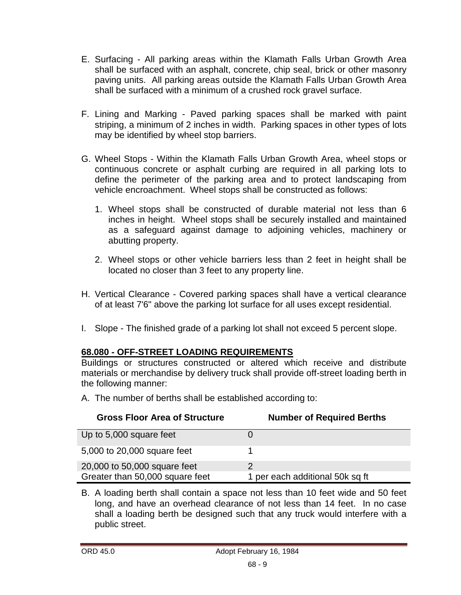- E. Surfacing All parking areas within the Klamath Falls Urban Growth Area shall be surfaced with an asphalt, concrete, chip seal, brick or other masonry paving units. All parking areas outside the Klamath Falls Urban Growth Area shall be surfaced with a minimum of a crushed rock gravel surface.
- F. Lining and Marking Paved parking spaces shall be marked with paint striping, a minimum of 2 inches in width. Parking spaces in other types of lots may be identified by wheel stop barriers.
- G. Wheel Stops Within the Klamath Falls Urban Growth Area, wheel stops or continuous concrete or asphalt curbing are required in all parking lots to define the perimeter of the parking area and to protect landscaping from vehicle encroachment. Wheel stops shall be constructed as follows:
	- 1. Wheel stops shall be constructed of durable material not less than 6 inches in height. Wheel stops shall be securely installed and maintained as a safeguard against damage to adjoining vehicles, machinery or abutting property.
	- 2. Wheel stops or other vehicle barriers less than 2 feet in height shall be located no closer than 3 feet to any property line.
- H. Vertical Clearance Covered parking spaces shall have a vertical clearance of at least 7'6" above the parking lot surface for all uses except residential.
- I. Slope The finished grade of a parking lot shall not exceed 5 percent slope.

# **68.080 - OFF-STREET LOADING REQUIREMENTS**

Buildings or structures constructed or altered which receive and distribute materials or merchandise by delivery truck shall provide off-street loading berth in the following manner:

A. The number of berths shall be established according to:

| <b>Gross Floor Area of Structure</b> | <b>Number of Required Berths</b> |
|--------------------------------------|----------------------------------|
| Up to 5,000 square feet              |                                  |
| 5,000 to 20,000 square feet          |                                  |
| 20,000 to 50,000 square feet         |                                  |
| Greater than 50,000 square feet      | 1 per each additional 50k sq ft  |

B. A loading berth shall contain a space not less than 10 feet wide and 50 feet long, and have an overhead clearance of not less than 14 feet. In no case shall a loading berth be designed such that any truck would interfere with a public street.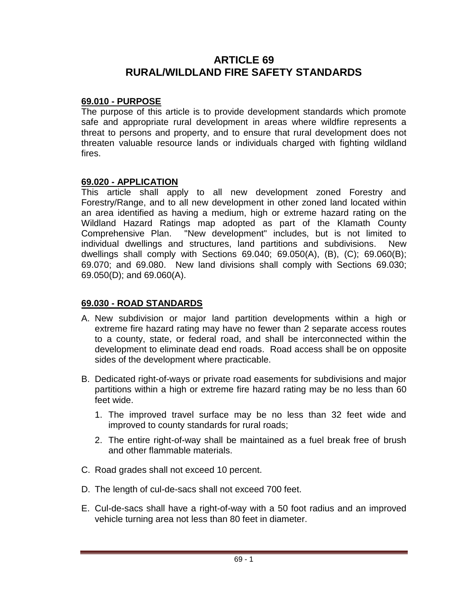# **ARTICLE 69 RURAL/WILDLAND FIRE SAFETY STANDARDS**

### **69.010 - PURPOSE**

The purpose of this article is to provide development standards which promote safe and appropriate rural development in areas where wildfire represents a threat to persons and property, and to ensure that rural development does not threaten valuable resource lands or individuals charged with fighting wildland fires.

## **69.020 - APPLICATION**

This article shall apply to all new development zoned Forestry and Forestry/Range, and to all new development in other zoned land located within an area identified as having a medium, high or extreme hazard rating on the Wildland Hazard Ratings map adopted as part of the Klamath County Comprehensive Plan. "New development" includes, but is not limited to individual dwellings and structures, land partitions and subdivisions. New dwellings shall comply with Sections 69.040; 69.050(A), (B), (C); 69.060(B); 69.070; and 69.080. New land divisions shall comply with Sections 69.030; 69.050(D); and 69.060(A).

# **69.030 - ROAD STANDARDS**

- A. New subdivision or major land partition developments within a high or extreme fire hazard rating may have no fewer than 2 separate access routes to a county, state, or federal road, and shall be interconnected within the development to eliminate dead end roads. Road access shall be on opposite sides of the development where practicable.
- B. Dedicated right-of-ways or private road easements for subdivisions and major partitions within a high or extreme fire hazard rating may be no less than 60 feet wide.
	- 1. The improved travel surface may be no less than 32 feet wide and improved to county standards for rural roads;
	- 2. The entire right-of-way shall be maintained as a fuel break free of brush and other flammable materials.
- C. Road grades shall not exceed 10 percent.
- D. The length of cul-de-sacs shall not exceed 700 feet.
- E. Cul-de-sacs shall have a right-of-way with a 50 foot radius and an improved vehicle turning area not less than 80 feet in diameter.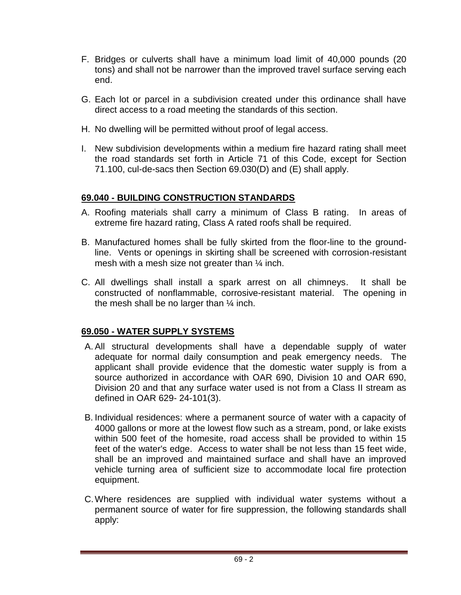- F. Bridges or culverts shall have a minimum load limit of 40,000 pounds (20 tons) and shall not be narrower than the improved travel surface serving each end.
- G. Each lot or parcel in a subdivision created under this ordinance shall have direct access to a road meeting the standards of this section.
- H. No dwelling will be permitted without proof of legal access.
- I. New subdivision developments within a medium fire hazard rating shall meet the road standards set forth in Article 71 of this Code, except for Section 71.100, cul-de-sacs then Section 69.030(D) and (E) shall apply.

# **69.040 - BUILDING CONSTRUCTION STANDARDS**

- A. Roofing materials shall carry a minimum of Class B rating. In areas of extreme fire hazard rating, Class A rated roofs shall be required.
- B. Manufactured homes shall be fully skirted from the floor-line to the groundline. Vents or openings in skirting shall be screened with corrosion-resistant mesh with a mesh size not greater than  $\frac{1}{4}$  inch.
- C. All dwellings shall install a spark arrest on all chimneys. It shall be constructed of nonflammable, corrosive-resistant material. The opening in the mesh shall be no larger than  $\frac{1}{4}$  inch.

# **69.050 - WATER SUPPLY SYSTEMS**

- A. All structural developments shall have a dependable supply of water adequate for normal daily consumption and peak emergency needs. The applicant shall provide evidence that the domestic water supply is from a source authorized in accordance with OAR 690, Division 10 and OAR 690, Division 20 and that any surface water used is not from a Class II stream as defined in OAR 629- 24-101(3).
- B. Individual residences: where a permanent source of water with a capacity of 4000 gallons or more at the lowest flow such as a stream, pond, or lake exists within 500 feet of the homesite, road access shall be provided to within 15 feet of the water's edge. Access to water shall be not less than 15 feet wide, shall be an improved and maintained surface and shall have an improved vehicle turning area of sufficient size to accommodate local fire protection equipment.
- C.Where residences are supplied with individual water systems without a permanent source of water for fire suppression, the following standards shall apply: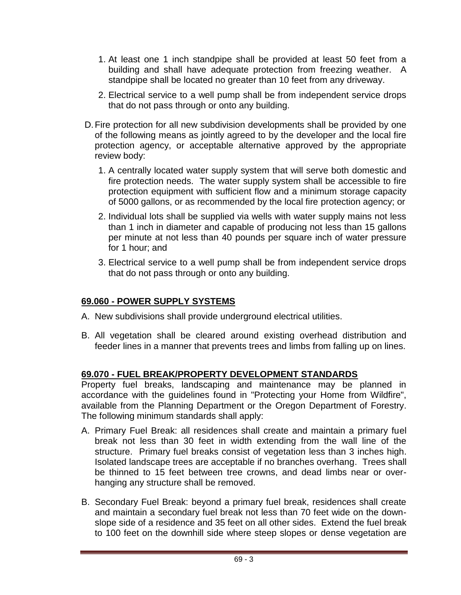- 1. At least one 1 inch standpipe shall be provided at least 50 feet from a building and shall have adequate protection from freezing weather. A standpipe shall be located no greater than 10 feet from any driveway.
- 2. Electrical service to a well pump shall be from independent service drops that do not pass through or onto any building.
- D.Fire protection for all new subdivision developments shall be provided by one of the following means as jointly agreed to by the developer and the local fire protection agency, or acceptable alternative approved by the appropriate review body:
	- 1. A centrally located water supply system that will serve both domestic and fire protection needs. The water supply system shall be accessible to fire protection equipment with sufficient flow and a minimum storage capacity of 5000 gallons, or as recommended by the local fire protection agency; or
	- 2. Individual lots shall be supplied via wells with water supply mains not less than 1 inch in diameter and capable of producing not less than 15 gallons per minute at not less than 40 pounds per square inch of water pressure for 1 hour; and
	- 3. Electrical service to a well pump shall be from independent service drops that do not pass through or onto any building.

# **69.060 - POWER SUPPLY SYSTEMS**

- A. New subdivisions shall provide underground electrical utilities.
- B. All vegetation shall be cleared around existing overhead distribution and feeder lines in a manner that prevents trees and limbs from falling up on lines.

# **69.070 - FUEL BREAK/PROPERTY DEVELOPMENT STANDARDS**

Property fuel breaks, landscaping and maintenance may be planned in accordance with the guidelines found in "Protecting your Home from Wildfire", available from the Planning Department or the Oregon Department of Forestry. The following minimum standards shall apply:

- A. Primary Fuel Break: all residences shall create and maintain a primary fuel break not less than 30 feet in width extending from the wall line of the structure. Primary fuel breaks consist of vegetation less than 3 inches high. Isolated landscape trees are acceptable if no branches overhang. Trees shall be thinned to 15 feet between tree crowns, and dead limbs near or overhanging any structure shall be removed.
- B. Secondary Fuel Break: beyond a primary fuel break, residences shall create and maintain a secondary fuel break not less than 70 feet wide on the downslope side of a residence and 35 feet on all other sides. Extend the fuel break to 100 feet on the downhill side where steep slopes or dense vegetation are